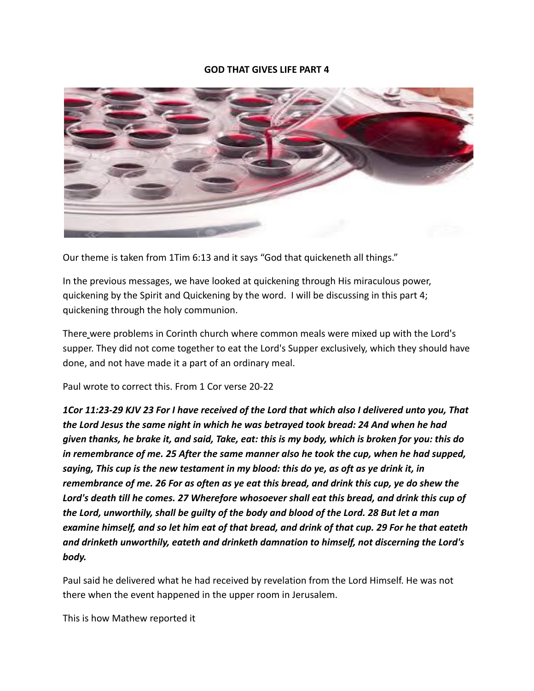#### **GOD THAT GIVES LIFE PART 4**



Our theme is taken from 1Tim 6:13 and it says "God that quickeneth all things."

In the previous messages, we have looked at quickening through His miraculous power, quickening by the Spirit and Quickening by the word. I will be discussing in this part 4; quickening through the holy communion.

There were problems in Corinth church where common meals were mixed up with the Lord's supper. They did not come together to eat the Lord's Supper exclusively, which they should have done, and not have made it a part of an ordinary meal.

Paul wrote to correct this. From 1 Cor verse 20-22

*1Cor 11:23-29 KJV 23 For I have received of the Lord that which also I delivered unto you, That the Lord Jesus the same night in which he was betrayed took bread: 24 And when he had given thanks, he brake it, and said, Take, eat: this is my body, which is broken for you: this do in remembrance of me. 25 After the same manner also he took the cup, when he had supped, saying, This cup is the new testament in my blood: this do ye, as oft as ye drink it, in remembrance of me. 26 For as often as ye eat this bread, and drink this cup, ye do shew the Lord's death till he comes. 27 Wherefore whosoever shall eat this bread, and drink this cup of the Lord, unworthily, shall be guilty of the body and blood of the Lord. 28 But let a man examine himself, and so let him eat of that bread, and drink of that cup. 29 For he that eateth and drinketh unworthily, eateth and drinketh damnation to himself, not discerning the Lord's body.*

Paul said he delivered what he had received by revelation from the Lord Himself. He was not there when the event happened in the upper room in Jerusalem.

This is how Mathew reported it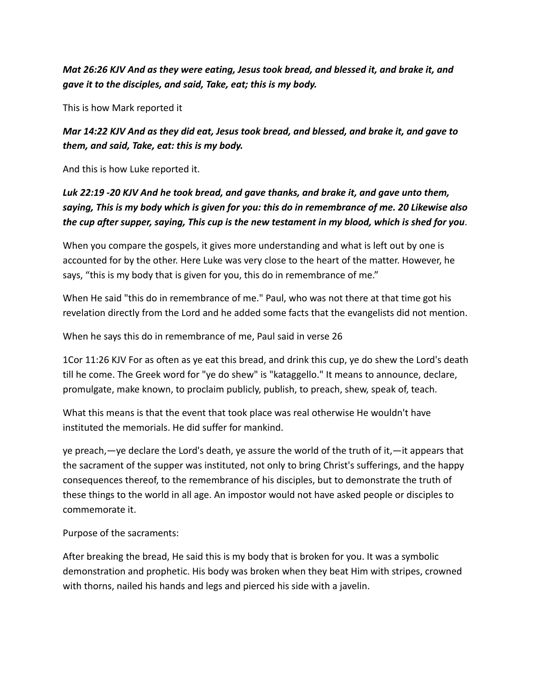*Mat 26:26 KJV And as they were eating, Jesus took bread, and blessed it, and brake it, and gave it to the disciples, and said, Take, eat; this is my body.*

This is how Mark reported it

*Mar 14:22 KJV And as they did eat, Jesus took bread, and blessed, and brake it, and gave to them, and said, Take, eat: this is my body.*

And this is how Luke reported it.

# *Luk 22:19 -20 KJV And he took bread, and gave thanks, and brake it, and gave unto them, saying, This is my body which is given for you: this do in remembrance of me. 20 Likewise also the cup after supper, saying, This cup is the new testament in my blood, which is shed for you*.

When you compare the gospels, it gives more understanding and what is left out by one is accounted for by the other. Here Luke was very close to the heart of the matter. However, he says, "this is my body that is given for you, this do in remembrance of me."

When He said "this do in remembrance of me." Paul, who was not there at that time got his revelation directly from the Lord and he added some facts that the evangelists did not mention.

When he says this do in remembrance of me, Paul said in verse 26

1Cor 11:26 KJV For as often as ye eat this bread, and drink this cup, ye do shew the Lord's death till he come. The Greek word for "ye do shew" is "kataggello." It means to announce, declare, promulgate, make known, to proclaim publicly, publish, to preach, shew, speak of, teach.

What this means is that the event that took place was real otherwise He wouldn't have instituted the memorials. He did suffer for mankind.

ye preach,—ye declare the Lord's death, ye assure the world of the truth of it,—it appears that the sacrament of the supper was instituted, not only to bring Christ's sufferings, and the happy consequences thereof, to the remembrance of his disciples, but to demonstrate the truth of these things to the world in all age. An impostor would not have asked people or disciples to commemorate it.

Purpose of the sacraments:

After breaking the bread, He said this is my body that is broken for you. It was a symbolic demonstration and prophetic. His body was broken when they beat Him with stripes, crowned with thorns, nailed his hands and legs and pierced his side with a javelin.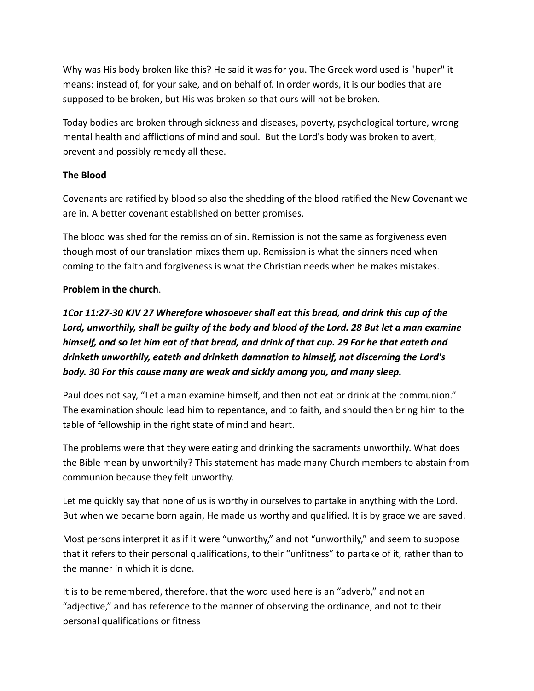Why was His body broken like this? He said it was for you. The Greek word used is "huper" it means: instead of, for your sake, and on behalf of. In order words, it is our bodies that are supposed to be broken, but His was broken so that ours will not be broken.

Today bodies are broken through sickness and diseases, poverty, psychological torture, wrong mental health and afflictions of mind and soul. But the Lord's body was broken to avert, prevent and possibly remedy all these.

### **The Blood**

Covenants are ratified by blood so also the shedding of the blood ratified the New Covenant we are in. A better covenant established on better promises.

The blood was shed for the remission of sin. Remission is not the same as forgiveness even though most of our translation mixes them up. Remission is what the sinners need when coming to the faith and forgiveness is what the Christian needs when he makes mistakes.

### **Problem in the church**.

*1Cor 11:27-30 KJV 27 Wherefore whosoever shall eat this bread, and drink this cup of the Lord, unworthily, shall be guilty of the body and blood of the Lord. 28 But let a man examine himself, and so let him eat of that bread, and drink of that cup. 29 For he that eateth and drinketh unworthily, eateth and drinketh damnation to himself, not discerning the Lord's body. 30 For this cause many are weak and sickly among you, and many sleep.*

Paul does not say, "Let a man examine himself, and then not eat or drink at the communion." The examination should lead him to repentance, and to faith, and should then bring him to the table of fellowship in the right state of mind and heart.

The problems were that they were eating and drinking the sacraments unworthily. What does the Bible mean by unworthily? This statement has made many Church members to abstain from communion because they felt unworthy.

Let me quickly say that none of us is worthy in ourselves to partake in anything with the Lord. But when we became born again, He made us worthy and qualified. It is by grace we are saved.

Most persons interpret it as if it were "unworthy," and not "unworthily," and seem to suppose that it refers to their personal qualifications, to their "unfitness" to partake of it, rather than to the manner in which it is done.

It is to be remembered, therefore. that the word used here is an "adverb," and not an "adjective," and has reference to the manner of observing the ordinance, and not to their personal qualifications or fitness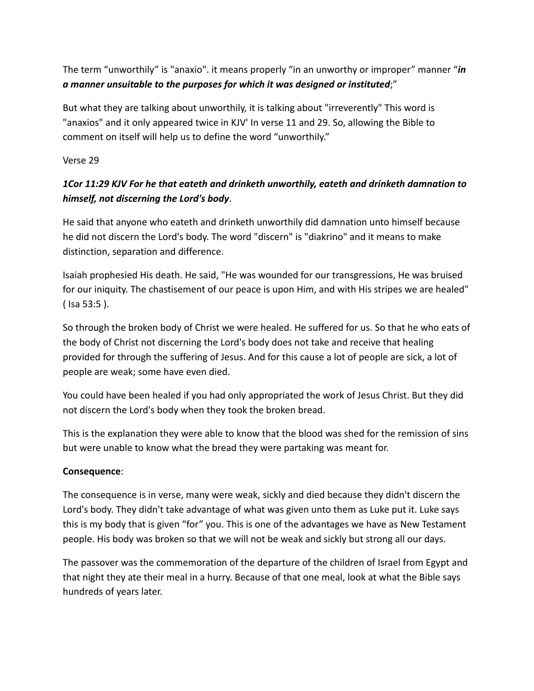The term "unworthily" is "anaxio". it means properly "in an unworthy or improper" manner "*in a manner unsuitable to the purposes for which it was designed or instituted*;"

But what they are talking about unworthily, it is talking about "irreverently" This word is "anaxios" and it only appeared twice in KJV' In verse 11 and 29. So, allowing the Bible to comment on itself will help us to define the word "unworthily."

Verse 29

# *1Cor 11:29 KJV For he that eateth and drinketh unworthily, eateth and drinketh damnation to himself, not discerning the Lord's body*.

He said that anyone who eateth and drinketh unworthily did damnation unto himself because he did not discern the Lord's body. The word "discern" is "diakrino" and it means to make distinction, separation and difference.

Isaiah prophesied His death. He said, "He was wounded for our transgressions, He was bruised for our iniquity. The chastisement of our peace is upon Him, and with His stripes we are healed" ( Isa 53:5 ).

So through the broken body of Christ we were healed. He suffered for us. So that he who eats of the body of Christ not discerning the Lord's body does not take and receive that healing provided for through the suffering of Jesus. And for this cause a lot of people are sick, a lot of people are weak; some have even died.

You could have been healed if you had only appropriated the work of Jesus Christ. But they did not discern the Lord's body when they took the broken bread.

This is the explanation they were able to know that the blood was shed for the remission of sins but were unable to know what the bread they were partaking was meant for.

#### **Consequence**:

The consequence is in verse, many were weak, sickly and died because they didn't discern the Lord's body. They didn't take advantage of what was given unto them as Luke put it. Luke says this is my body that is given "for" you. This is one of the advantages we have as New Testament people. His body was broken so that we will not be weak and sickly but strong all our days.

The passover was the commemoration of the departure of the children of Israel from Egypt and that night they ate their meal in a hurry. Because of that one meal, look at what the Bible says hundreds of years later.